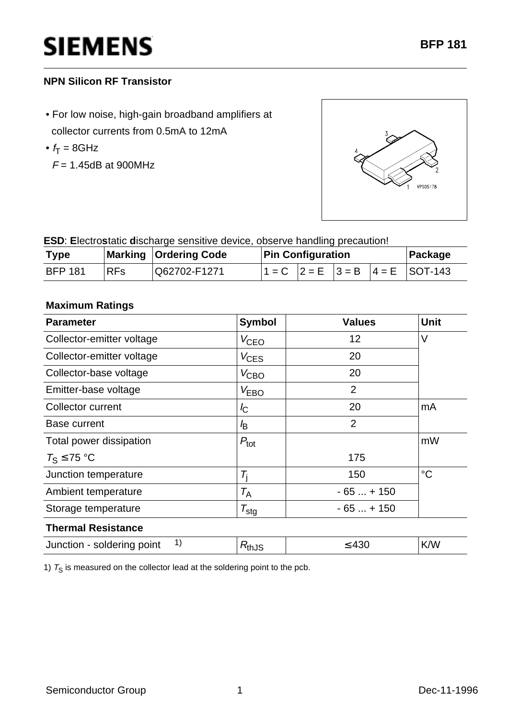# **SIEMENS**

## **NPN Silicon RF Transistor**

- For low noise, high-gain broadband amplifiers at collector currents from 0.5mA to 12mA
- $f_T = 8$ GHz
	- $F = 1.45$ dB at 900MHz



**ESD**: **E**lectro**s**tatic **d**ischarge sensitive device, observe handling precaution!

| <b>Type</b>    |            | <b>Marking Ordering Code</b> | <b>Pin Configuration</b> |  |  | ∣Package |                                             |
|----------------|------------|------------------------------|--------------------------|--|--|----------|---------------------------------------------|
| <b>BFP 181</b> | <b>RFs</b> | IQ62702-F1271                |                          |  |  |          | $ 1 = C$ $ 2 = E$ $ 3 = B$ $ 4 = E$ SOT-143 |

### **Maximum Ratings**

| <b>Parameter</b>                 | <b>Symbol</b>       | <b>Values</b>  | <b>Unit</b>     |  |  |  |  |
|----------------------------------|---------------------|----------------|-----------------|--|--|--|--|
| Collector-emitter voltage        | $V_{\text{CEO}}$    | 12             | V               |  |  |  |  |
| Collector-emitter voltage        | $V_{\text{CES}}$    | 20             |                 |  |  |  |  |
| Collector-base voltage           | $V_{\text{CBO}}$    | 20             |                 |  |  |  |  |
| Emitter-base voltage             | $V_{EBO}$           | $\overline{2}$ |                 |  |  |  |  |
| <b>Collector current</b>         | $I_{\rm C}$         | 20             | mA              |  |  |  |  |
| Base current                     | l <sub>B</sub>      | $\overline{2}$ |                 |  |  |  |  |
| Total power dissipation          | $P_{\text{tot}}$    |                | mW              |  |  |  |  |
| $T_S \leq 75$ °C                 |                     | 175            |                 |  |  |  |  |
| Junction temperature             | $\tau_{\rm i}$      | 150            | $\rm ^{\circ}C$ |  |  |  |  |
| Ambient temperature              | $T_{\sf A}$         | $-65+150$      |                 |  |  |  |  |
| Storage temperature              | $\tau_{\text{stg}}$ | $-65+150$      |                 |  |  |  |  |
| <b>Thermal Resistance</b>        |                     |                |                 |  |  |  |  |
| 1)<br>Junction - soldering point | $R_{th,JS}$         | $\leq 430$     | K/W             |  |  |  |  |

1)  $T_S$  is measured on the collector lead at the soldering point to the pcb.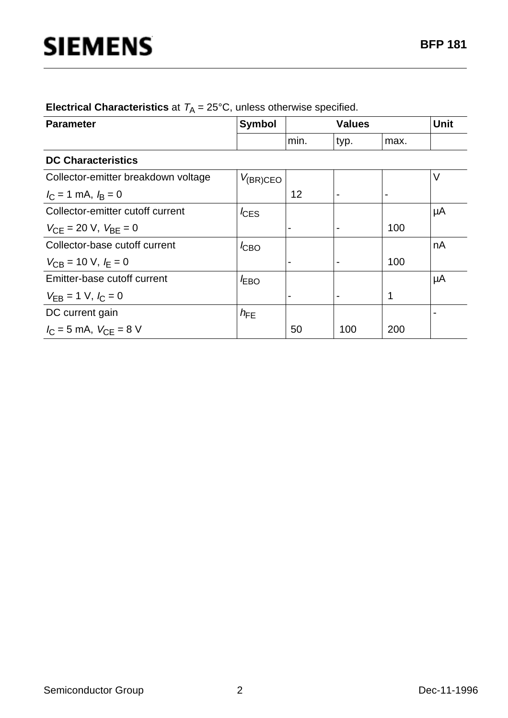| <b>Parameter</b>                                 | <b>Symbol</b>    | <b>Values</b>  |      |                | <b>Unit</b> |
|--------------------------------------------------|------------------|----------------|------|----------------|-------------|
|                                                  |                  | min.           | typ. | max.           |             |
| <b>DC Characteristics</b>                        |                  |                |      |                |             |
| Collector-emitter breakdown voltage              | $V_{(BR)CEO}$    |                |      |                | V           |
| $I_C = 1$ mA, $I_B = 0$                          |                  | 12             |      | $\blacksquare$ |             |
| Collector-emitter cutoff current                 | $I_{\text{CES}}$ |                |      |                | μA          |
| $V_{\text{CE}}$ = 20 V, $V_{\text{BE}}$ = 0      |                  |                |      | 100            |             |
| Collector-base cutoff current                    | $I_{\text{CBO}}$ |                |      |                | nA          |
| $V_{\text{CB}} = 10 \text{ V}, I_{\text{F}} = 0$ |                  |                |      | 100            |             |
| Emitter-base cutoff current                      | $I_{EBO}$        |                |      |                | μA          |
| $V_{EB} = 1$ V, $I_C = 0$                        |                  | $\blacksquare$ |      | 1              |             |
| DC current gain                                  | $h_{FE}$         |                |      |                |             |
| $I_{C} = 5$ mA, $V_{CE} = 8$ V                   |                  | 50             | 100  | 200            |             |

**Electrical Characteristics** at  $T_A = 25^{\circ}$ C, unless otherwise specified.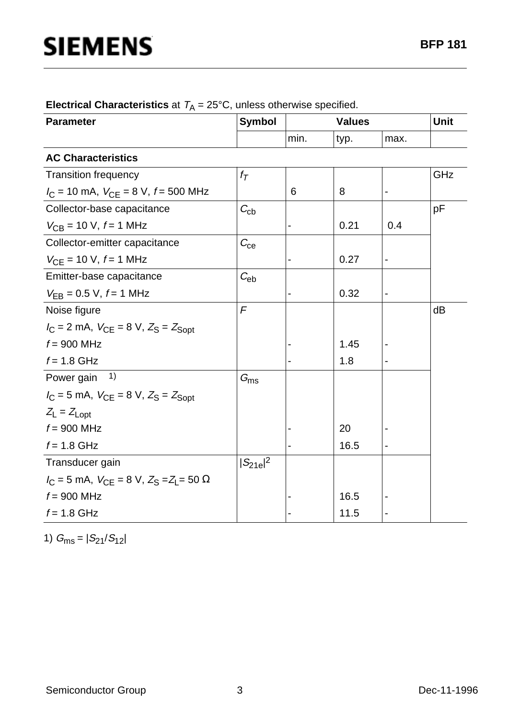| <b>Parameter</b>                                        | <b>Symbol</b>     |      | Unit |                              |     |
|---------------------------------------------------------|-------------------|------|------|------------------------------|-----|
|                                                         |                   | min. | typ. | max.                         |     |
| <b>AC Characteristics</b>                               |                   |      |      |                              |     |
| <b>Transition frequency</b>                             | $f_{\mathcal{T}}$ |      |      |                              | GHz |
| $I_C = 10$ mA, $V_{CE} = 8$ V, $f = 500$ MHz            |                   | 6    | 8    |                              |     |
| Collector-base capacitance                              | $C_{\rm cb}$      |      |      |                              | pF  |
| $V_{CB}$ = 10 V, $f = 1$ MHz                            |                   |      | 0.21 | 0.4                          |     |
| Collector-emitter capacitance                           | $C_{\rm ce}$      |      |      |                              |     |
| $V_{CE}$ = 10 V, $f$ = 1 MHz                            |                   |      | 0.27 | $\overline{\phantom{0}}$     |     |
| Emitter-base capacitance                                | $C_{eb}$          |      |      |                              |     |
| $V_{EB} = 0.5 V, f = 1 MHz$                             |                   |      | 0.32 | $\qquad \qquad \blacksquare$ |     |
| Noise figure                                            | F                 |      |      |                              | dB  |
| $I_C = 2$ mA, $V_{CE} = 8$ V, $Z_S = Z_{Sopt}$          |                   |      |      |                              |     |
| $f = 900$ MHz                                           |                   |      | 1.45 |                              |     |
| $f = 1.8$ GHz                                           |                   |      | 1.8  |                              |     |
| 1)<br>Power gain                                        | $G_{\text{ms}}$   |      |      |                              |     |
| $I_C = 5$ mA, $V_{CE} = 8$ V, $Z_S = Z_{Sopt}$          |                   |      |      |                              |     |
| $Z_L = Z_{Lopt}$                                        |                   |      |      |                              |     |
| $f = 900$ MHz                                           |                   |      | 20   |                              |     |
| $f = 1.8$ GHz                                           |                   |      | 16.5 |                              |     |
| Transducer gain                                         | $ S_{21e} ^2$     |      |      |                              |     |
| $I_C = 5$ mA, $V_{CF} = 8$ V, $Z_S = Z_I = 50$ $\Omega$ |                   |      |      |                              |     |
| $f = 900$ MHz                                           |                   |      | 16.5 |                              |     |
| $f = 1.8$ GHz                                           |                   |      | 11.5 |                              |     |

**Electrical Characteristics** at  $T_A = 25^{\circ}$ C, unless otherwise specified.

1)  $G_{\text{ms}} = |S_{21}/S_{12}|$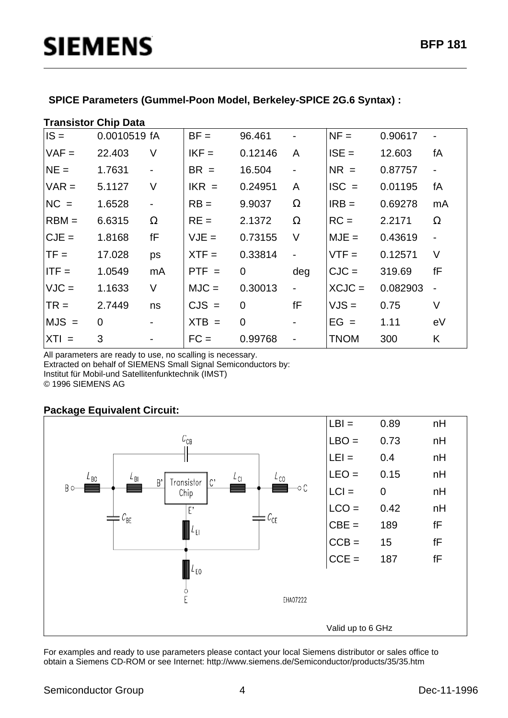#### **SPICE Parameters (Gummel-Poon Model, Berkeley-SPICE 2G.6 Syntax) :**

#### **Transistor Chip Data**

| $IS =$  | 0.0010519 fA   |                              | $BF =$  | 96.461         | $\overline{\phantom{0}}$     | $NF =$      | 0.90617  |                          |
|---------|----------------|------------------------------|---------|----------------|------------------------------|-------------|----------|--------------------------|
| $VAF =$ | 22.403         | V                            | $IKF =$ | 0.12146        | A                            | $ISE =$     | 12.603   | fA                       |
| $NE =$  | 1.7631         | $\blacksquare$               | $BR =$  | 16.504         | $\overline{\phantom{a}}$     | $NR =$      | 0.87757  | $\overline{\phantom{a}}$ |
| $VAR =$ | 5.1127         | $\vee$                       | $IKR =$ | 0.24951        | A                            | $ISC =$     | 0.01195  | fA                       |
| $NC =$  | 1.6528         | $\blacksquare$               | $RB =$  | 9.9037         | $\Omega$                     | $IRB =$     | 0.69278  | mA                       |
| $RBM =$ | 6.6315         | $\Omega$                     | $RE =$  | 2.1372         | $\Omega$                     | $RC =$      | 2.2171   | $\Omega$                 |
| $CJE =$ | 1.8168         | fF                           | $VJE =$ | 0.73155        | V                            | $MJE =$     | 0.43619  |                          |
| $TF =$  | 17.028         | ps                           | $XTF =$ | 0.33814        | $\frac{1}{2}$                | $VTF =$     | 0.12571  | V                        |
| $ITF =$ | 1.0549         | mA                           | $PTF =$ | $\overline{0}$ | deg                          | $CJC =$     | 319.69   | fF                       |
| $VJC =$ | 1.1633         | V                            | $MJC =$ | 0.30013        | $\overline{\phantom{a}}$     | $XCJC =$    | 0.082903 | $\overline{\phantom{a}}$ |
| $TR =$  | 2.7449         | ns                           | $CJS =$ | 0              | fF                           | $VJS =$     | 0.75     | V                        |
| $MJS =$ | $\overline{0}$ |                              | $XTB =$ | $\Omega$       | $\blacksquare$               | $EG =$      | 1.11     | eV                       |
| $XTI =$ | 3              | $\qquad \qquad \blacksquare$ | $FC =$  | 0.99768        | $\qquad \qquad \blacksquare$ | <b>TNOM</b> | 300      | K                        |

All parameters are ready to use, no scalling is necessary. Extracted on behalf of SIEMENS Small Signal Semiconductors by: Institut für Mobil-und Satellitenfunktechnik (IMST) © 1996 SIEMENS AG

#### **Package Equivalent Circuit:**



For examples and ready to use parameters please contact your local Siemens distributor or sales office to obtain a Siemens CD-ROM or see Internet: http://www.siemens.de/Semiconductor/products/35/35.htm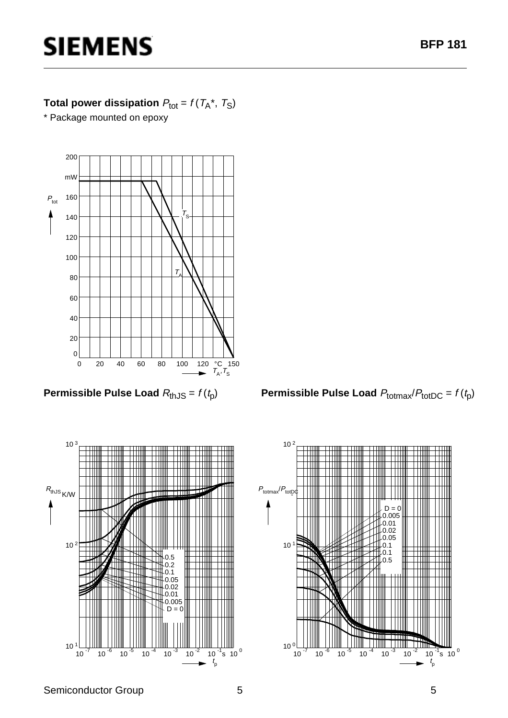# **SIEMENS**

# **Total power dissipation**  $P_{\text{tot}} = f(T_A^*, T_S)$

\* Package mounted on epoxy



**Permissible Pulse Load**  $R_{th,JS} = f(t_p)$ 



**Permissible Pulse Load**  $P_{\text{totmax}}/P_{\text{totDC}} = f(t_p)$ 

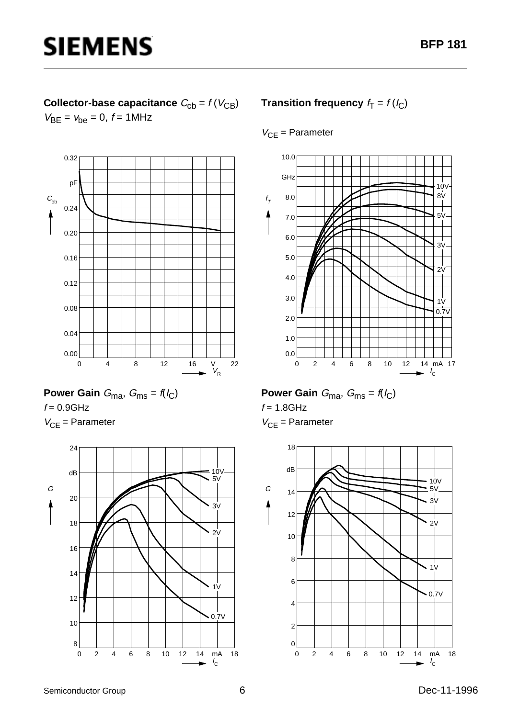# **Collector-base capacitance**  $C_{\text{cb}} = f(V_{\text{CB}})$  $V_{BE} = V_{be} = 0, f = 1MHz$



Power Gain 
$$
G_{\text{ma}}
$$
,  $G_{\text{ms}} = f(l_C)$ 

 $f = 0.9$ GHz  $V_{CE}$  = Parameter



## **Transition frequency**  $f_T = f(l_C)$

### $V_{CE}$  = Parameter



# **Power Gain**  $G_{\text{ma}}$ ,  $G_{\text{ms}} = f(I_C)$

 $f = 1.8$ GHz

 $V_{CF}$  = Parameter